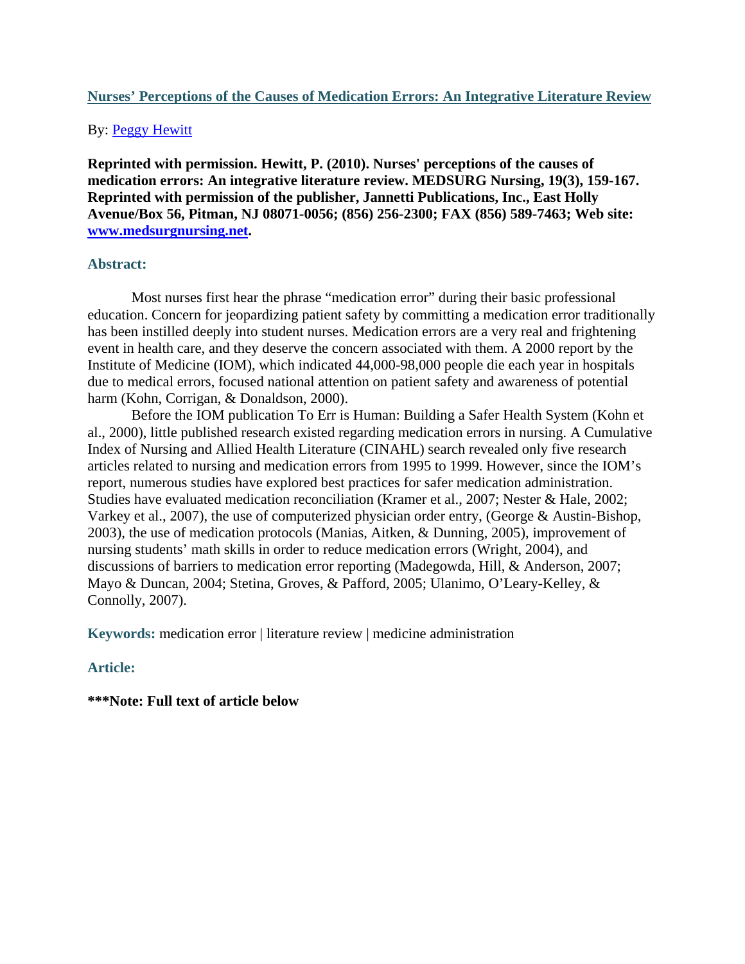# **Nurses' Perceptions of the Causes of Medication Errors: An Integrative Literature Review**

# By: Peggy Hewitt

**Reprinted with permission. Hewitt, P. (2010). Nurses' perceptions of the causes of medication errors: An integrative literature review. MEDSURG Nursing, 19(3), 159-167. Reprinted with permission of the publisher, Jannetti Publications, Inc., East Holly Avenue/Box 56, Pitman, NJ 08071-0056; (856) 256-2300; FAX (856) 589-7463; Web site: www.medsurgnursing.net.** 

# **Abstract:**

Most nurses first hear the phrase "medication error" during their basic professional education. Concern for jeopardizing patient safety by committing a medication error traditionally has been instilled deeply into student nurses. Medication errors are a very real and frightening event in health care, and they deserve the concern associated with them. A 2000 report by the Institute of Medicine (IOM), which indicated 44,000-98,000 people die each year in hospitals due to medical errors, focused national attention on patient safety and awareness of potential harm (Kohn, Corrigan, & Donaldson, 2000).

Before the IOM publication To Err is Human: Building a Safer Health System (Kohn et al., 2000), little published research existed regarding medication errors in nursing. A Cumulative Index of Nursing and Allied Health Literature (CINAHL) search revealed only five research articles related to nursing and medication errors from 1995 to 1999. However, since the IOM's report, numerous studies have explored best practices for safer medication administration. Studies have evaluated medication reconciliation (Kramer et al., 2007; Nester & Hale, 2002; Varkey et al., 2007), the use of computerized physician order entry, (George & Austin-Bishop, 2003), the use of medication protocols (Manias, Aitken, & Dunning, 2005), improvement of nursing students' math skills in order to reduce medication errors (Wright, 2004), and discussions of barriers to medication error reporting (Madegowda, Hill, & Anderson, 2007; Mayo & Duncan, 2004; Stetina, Groves, & Pafford, 2005; Ulanimo, O'Leary-Kelley, & Connolly, 2007).

**Keywords:** medication error | literature review | medicine administration

# **Article:**

**\*\*\*Note: Full text of article below**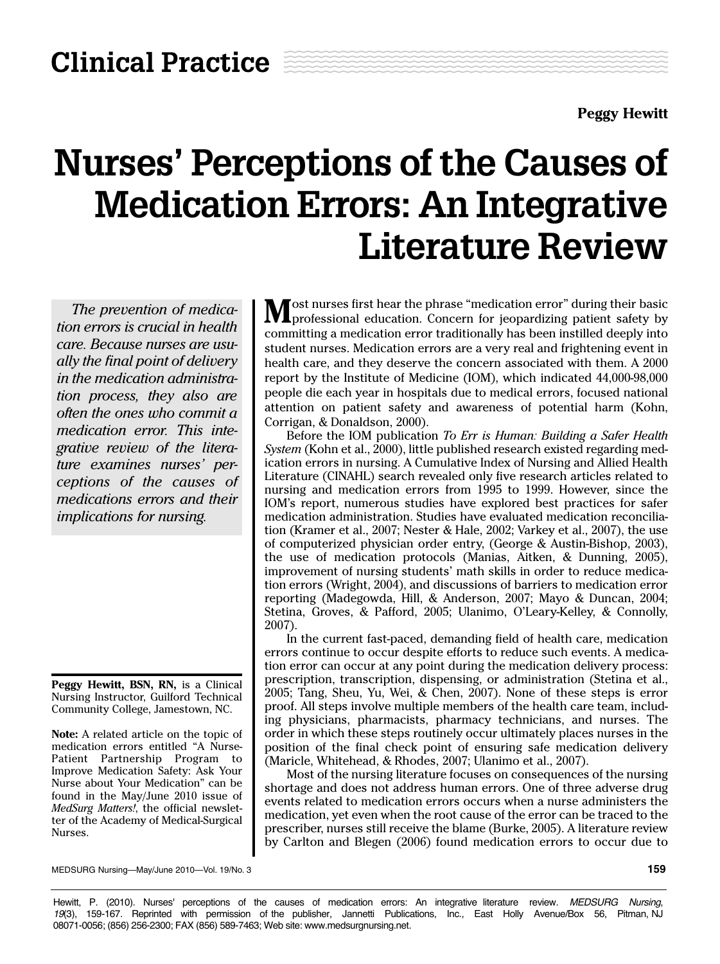**Peggy Hewitt**

# Nurses' Perceptions of the Causes of Medication Errors: An Integrative Literature Review

*The prevention of medication errors is crucial in health care. Because nurses are usually the final point of delivery in the medication administration process, they also are often the ones who commit a medication error. This integrative review of the literature examines nurses' perceptions of the causes of medications errors and their implications for nursing.* 

**Peggy Hewitt, BSN, RN,** is a Clinical Nursing Instructor, Guilford Technical Community College, Jamestown, NC.

**Note:** A related article on the topic of medication errors entitled "A Nurse-Patient Partnership Program to Improve Medication Safety: Ask Your Nurse about Your Medication" can be found in the May/June 2010 issue of *MedSurg Matters!*, the official newsletter of the Academy of Medical-Surgical Nurses.

**M** ost nurses first hear the phrase "medication error" during their basic professional education. Concern for jeopardizing patient safety by committing a medication error traditionally has been instilled deeply into student nurses. Medication errors are a very real and frightening event in health care, and they deserve the concern associated with them. A 2000 report by the Institute of Medicine (IOM), which indicated 44,000-98,000 people die each year in hospitals due to medical errors, focused national attention on patient safety and awareness of potential harm (Kohn, Corrigan, & Donaldson, 2000).

Before the IOM publication *To Err is Human: Building a Safer Health System* (Kohn et al., 2000), little published research existed regarding medication errors in nursing. A Cumulative Index of Nursing and Allied Health Literature (CINAHL) search revealed only five research articles related to nursing and medication errors from 1995 to 1999. However, since the IOM's report, numerous studies have explored best practices for safer medication administration. Studies have evaluated medication reconciliation (Kramer et al., 2007; Nester & Hale, 2002; Varkey et al., 2007), the use of computerized physician order entry, (George & Austin-Bishop, 2003), the use of medication protocols (Manias, Aitken, & Dunning, 2005), improvement of nursing students' math skills in order to reduce medication errors (Wright, 2004), and discussions of barriers to medication error reporting (Madegowda, Hill, & Anderson, 2007; Mayo & Duncan, 2004; Stetina, Groves, & Pafford, 2005; Ulanimo, O'Leary-Kelley, & Connolly, 2007).

In the current fast-paced, demanding field of health care, medication errors continue to occur despite efforts to reduce such events. A medication error can occur at any point during the medication delivery process: prescription, transcription, dispensing, or administration (Stetina et al., 2005; Tang, Sheu, Yu, Wei, & Chen, 2007). None of these steps is error proof. All steps involve multiple members of the health care team, including physicians, pharmacists, pharmacy technicians, and nurses. The order in which these steps routinely occur ultimately places nurses in the position of the final check point of ensuring safe medication delivery (Maricle, Whitehead, & Rhodes, 2007; Ulanimo et al., 2007).

Most of the nursing literature focuses on consequences of the nursing shortage and does not address human errors. One of three adverse drug events related to medication errors occurs when a nurse administers the medication, yet even when the root cause of the error can be traced to the prescriber, nurses still receive the blame (Burke, 2005). A literature review by Carlton and Blegen (2006) found medication errors to occur due to

MEDSURG Nursing—May/June 2010—Vol. 19/No. 3 **159**

Hewitt, P. (2010). Nurses' perceptions of the causes of medication errors: An integrative literature review. MEDSURG Nursing, *19*(3), 159-167. Reprinted with permission of the publisher, Jannetti Publications, Inc., East Holly Avenue/Box 56, Pitman, NJ 08071-0056; (856) 256-2300; FAX (856) 589-7463; Web site: www.medsurgnursing.net.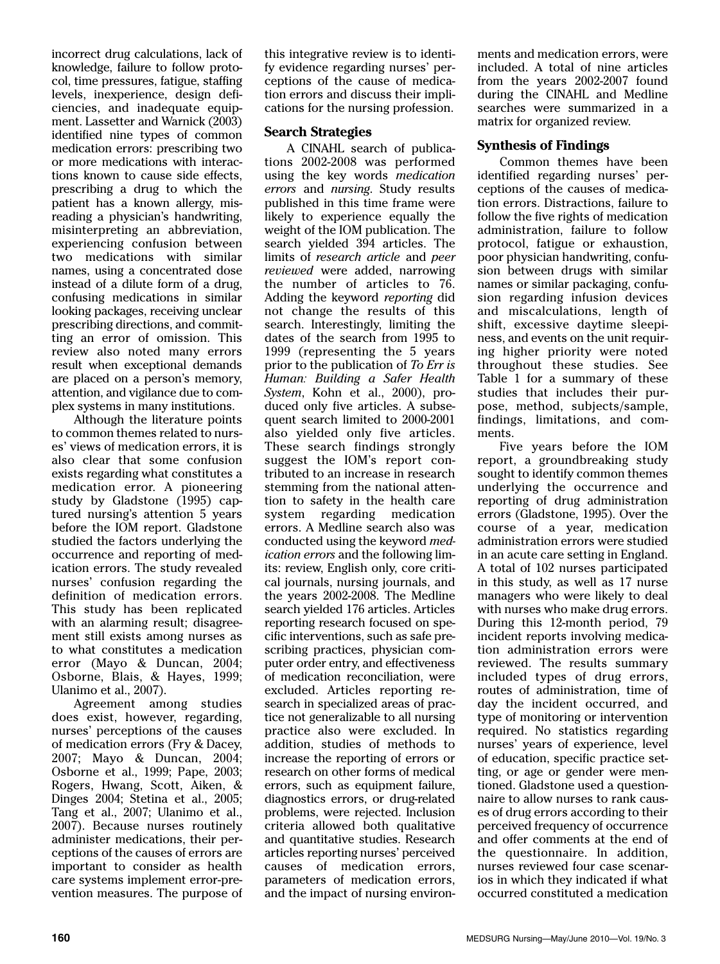incorrect drug calculations, lack of knowledge, failure to follow protocol, time pressures, fatigue, staffing levels, inexperience, design deficiencies, and inadequate equipment. Lassetter and Warnick (2003) identified nine types of common medication errors: prescribing two or more medications with interactions known to cause side effects, prescribing a drug to which the patient has a known allergy, misreading a physician's handwriting, misinterpreting an abbreviation, experiencing confusion between two medications with similar names, using a concentrated dose instead of a dilute form of a drug, confusing medications in similar looking packages, receiving unclear prescribing directions, and committing an error of omission. This review also noted many errors result when exceptional demands are placed on a person's memory, attention, and vigilance due to complex systems in many institutions.

Although the literature points to common themes related to nurses' views of medication errors, it is also clear that some confusion exists regarding what constitutes a medication error. A pioneering study by Gladstone (1995) captured nursing's attention 5 years before the IOM report. Gladstone studied the factors underlying the occurrence and reporting of medication errors. The study revealed nurses' confusion regarding the definition of medication errors. This study has been replicated with an alarming result; disagreement still exists among nurses as to what constitutes a medication error (Mayo & Duncan, 2004; Osborne, Blais, & Hayes, 1999; Ulanimo et al., 2007).

Agreement among studies does exist, however, regarding, nurses' perceptions of the causes of medication errors (Fry & Dacey, 2007; Mayo & Duncan, 2004; Osborne et al., 1999; Pape, 2003; Rogers, Hwang, Scott, Aiken, & Dinges 2004; Stetina et al., 2005; Tang et al., 2007; Ulanimo et al., 2007). Because nurses routinely administer medications, their perceptions of the causes of errors are important to consider as health care systems implement error-prevention measures. The purpose of this integrative review is to identify evidence regarding nurses' perceptions of the cause of medication errors and discuss their implications for the nursing profession.

#### **Search Strategies**

A CINAHL search of publications 2002-2008 was performed using the key words *medication errors* and *nursing*. Study results published in this time frame were likely to experience equally the weight of the IOM publication. The search yielded 394 articles. The limits of *research article* and *peer reviewed* were added, narrowing the number of articles to 76. Adding the keyword *reporting* did not change the results of this search. Interestingly, limiting the dates of the search from 1995 to 1999 (representing the 5 years prior to the publication of *To Err is Human: Building a Safer Health System*, Kohn et al., 2000), produced only five articles. A subsequent search limited to 2000-2001 also yielded only five articles. These search findings strongly suggest the IOM's report contributed to an increase in research stemming from the national attention to safety in the health care system regarding medication errors. A Medline search also was conducted using the keyword *medication errors* and the following limits: review, English only, core critical journals, nursing journals, and the years 2002-2008. The Medline search yielded 176 articles. Articles reporting research focused on specific interventions, such as safe prescribing practices, physician computer order entry, and effectiveness of medication reconciliation, were excluded. Articles reporting research in specialized areas of practice not generalizable to all nursing practice also were excluded. In addition, studies of methods to increase the reporting of errors or research on other forms of medical errors, such as equipment failure, diagnostics errors, or drug-related problems, were rejected. Inclusion criteria allowed both qualitative and quantitative studies. Research articles reporting nurses' perceived causes of medication errors, parameters of medication errors, and the impact of nursing environments and medication errors, were included. A total of nine articles from the years 2002-2007 found during the CINAHL and Medline searches were summarized in a matrix for organized review.

# **Synthesis of Findings**

Common themes have been identified regarding nurses' perceptions of the causes of medication errors. Distractions, failure to follow the five rights of medication administration, failure to follow protocol, fatigue or exhaustion, poor physician handwriting, confusion between drugs with similar names or similar packaging, confusion regarding infusion devices and miscalculations, length of shift, excessive daytime sleepiness, and events on the unit requiring higher priority were noted throughout these studies. See Table 1 for a summary of these studies that includes their purpose, method, subjects/sample, findings, limitations, and comments.

Five years before the IOM report, a groundbreaking study sought to identify common themes underlying the occurrence and reporting of drug administration errors (Gladstone, 1995). Over the course of a year, medication administration errors were studied in an acute care setting in England. A total of 102 nurses participated in this study, as well as 17 nurse managers who were likely to deal with nurses who make drug errors. During this 12-month period, 79 incident reports involving medication administration errors were reviewed. The results summary included types of drug errors, routes of administration, time of day the incident occurred, and type of monitoring or intervention required. No statistics regarding nurses' years of experience, level of education, specific practice setting, or age or gender were mentioned. Gladstone used a questionnaire to allow nurses to rank causes of drug errors according to their perceived frequency of occurrence and offer comments at the end of the questionnaire. In addition, nurses reviewed four case scenarios in which they indicated if what occurred constituted a medication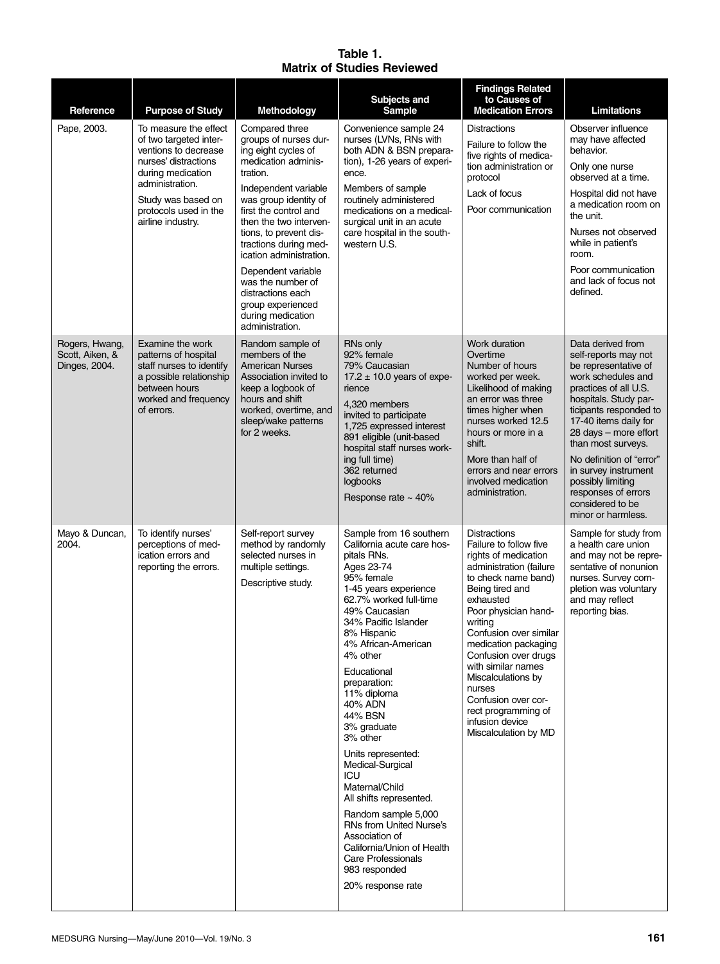#### **Table 1. Matrix of Studies Reviewed**

| Reference                                          | <b>Purpose of Study</b>                                                                                                                                                                                     | Methodology                                                                                                                                                                                                                                                                                                                                                                                                      | Subjects and<br>Sample                                                                                                                                                                                                                                                                                                                                                                                                                                                                                                                                                                                           | <b>Findings Related</b><br>to Causes of<br><b>Medication Errors</b>                                                                                                                                                                                                                                                                                                                                                 | <b>Limitations</b>                                                                                                                                                                                                                                                                                                                                                                    |
|----------------------------------------------------|-------------------------------------------------------------------------------------------------------------------------------------------------------------------------------------------------------------|------------------------------------------------------------------------------------------------------------------------------------------------------------------------------------------------------------------------------------------------------------------------------------------------------------------------------------------------------------------------------------------------------------------|------------------------------------------------------------------------------------------------------------------------------------------------------------------------------------------------------------------------------------------------------------------------------------------------------------------------------------------------------------------------------------------------------------------------------------------------------------------------------------------------------------------------------------------------------------------------------------------------------------------|---------------------------------------------------------------------------------------------------------------------------------------------------------------------------------------------------------------------------------------------------------------------------------------------------------------------------------------------------------------------------------------------------------------------|---------------------------------------------------------------------------------------------------------------------------------------------------------------------------------------------------------------------------------------------------------------------------------------------------------------------------------------------------------------------------------------|
| Pape, 2003.                                        | To measure the effect<br>of two targeted inter-<br>ventions to decrease<br>nurses' distractions<br>during medication<br>administration.<br>Study was based on<br>protocols used in the<br>airline industry. | Compared three<br>groups of nurses dur-<br>ing eight cycles of<br>medication adminis-<br>tration.<br>Independent variable<br>was group identity of<br>first the control and<br>then the two interven-<br>tions, to prevent dis-<br>tractions during med-<br>ication administration.<br>Dependent variable<br>was the number of<br>distractions each<br>group experienced<br>during medication<br>administration. | Convenience sample 24<br>nurses (LVNs, RNs with<br>both ADN & BSN prepara-<br>tion), 1-26 years of experi-<br>ence.<br>Members of sample<br>routinely administered<br>medications on a medical-<br>surgical unit in an acute<br>care hospital in the south-<br>western U.S.                                                                                                                                                                                                                                                                                                                                      | <b>Distractions</b><br>Failure to follow the<br>five rights of medica-<br>tion administration or<br>protocol<br>Lack of focus<br>Poor communication                                                                                                                                                                                                                                                                 | Observer influence<br>may have affected<br>behavior.<br>Only one nurse<br>observed at a time.<br>Hospital did not have<br>a medication room on<br>the unit.<br>Nurses not observed<br>while in patient's<br>room.<br>Poor communication<br>and lack of focus not<br>defined.                                                                                                          |
| Rogers, Hwang,<br>Scott. Aiken, &<br>Dinges, 2004. | Examine the work<br>patterns of hospital<br>staff nurses to identify<br>a possible relationship<br>between hours<br>worked and frequency<br>of errors.                                                      | Random sample of<br>members of the<br><b>American Nurses</b><br>Association invited to<br>keep a logbook of<br>hours and shift<br>worked, overtime, and<br>sleep/wake patterns<br>for 2 weeks.                                                                                                                                                                                                                   | RNs only<br>92% female<br>79% Caucasian<br>$17.2 \pm 10.0$ years of expe-<br>rience<br>4,320 members<br>invited to participate<br>1,725 expressed interest<br>891 eligible (unit-based<br>hospital staff nurses work-<br>ing full time)<br>362 returned<br>logbooks<br>Response rate $\sim$ 40%                                                                                                                                                                                                                                                                                                                  | Work duration<br>Overtime<br>Number of hours<br>worked per week.<br>Likelihood of making<br>an error was three<br>times higher when<br>nurses worked 12.5<br>hours or more in a<br>shift.<br>More than half of<br>errors and near errors<br>involved medication<br>administration.                                                                                                                                  | Data derived from<br>self-reports may not<br>be representative of<br>work schedules and<br>practices of all U.S.<br>hospitals. Study par-<br>ticipants responded to<br>17-40 items daily for<br>28 days - more effort<br>than most surveys.<br>No definition of "error"<br>in survey instrument<br>possibly limiting<br>responses of errors<br>considered to be<br>minor or harmless. |
| Mayo & Duncan,<br>2004.                            | To identify nurses'<br>perceptions of med-<br>ication errors and<br>reporting the errors.                                                                                                                   | Self-report survey<br>method by randomly<br>selected nurses in<br>multiple settings.<br>Descriptive study.                                                                                                                                                                                                                                                                                                       | Sample from 16 southern<br>California acute care hos-<br>pitals RNs.<br>Ages 23-74<br>95% female<br>1-45 years experience<br>62.7% worked full-time<br>49% Caucasian<br>34% Pacific Islander<br>8% Hispanic<br>4% African-American<br>4% other<br>Educational<br>preparation:<br>11% diploma<br>40% ADN<br>44% BSN<br>3% graduate<br>3% other<br>Units represented:<br>Medical-Surgical<br>ICU<br>Maternal/Child<br>All shifts represented.<br>Random sample 5,000<br>RNs from United Nurse's<br>Association of<br>California/Union of Health<br><b>Care Professionals</b><br>983 responded<br>20% response rate | <b>Distractions</b><br>Failure to follow five<br>rights of medication<br>administration (failure<br>to check name band)<br>Being tired and<br>exhausted<br>Poor physician hand-<br>writing<br>Confusion over similar<br>medication packaging<br>Confusion over drugs<br>with similar names<br>Miscalculations by<br>nurses<br>Confusion over cor-<br>rect programming of<br>infusion device<br>Miscalculation by MD | Sample for study from<br>a health care union<br>and may not be repre-<br>sentative of nonunion<br>nurses. Survey com-<br>pletion was voluntary<br>and may reflect<br>reporting bias.                                                                                                                                                                                                  |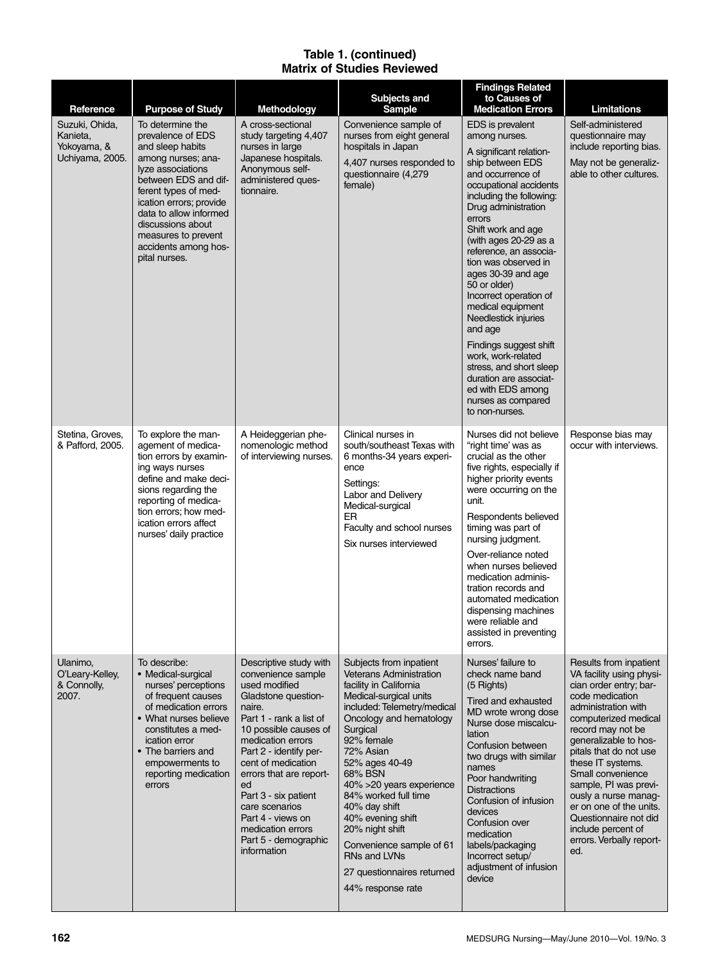### **Table 1. (continued) Matrix of Studies Reviewed**

| Reference                                                    | <b>Purpose of Study</b>                                                                                                                                                                                                                                                                        | <b>Methodology</b>                                                                                                                                                                                                                                                                                                                                                                  | <b>Subjects and</b><br><b>Sample</b>                                                                                                                                                                                                                                                                                                                                                                                                                            | <b>Findings Related</b><br>to Causes of<br><b>Medication Errors</b>                                                                                                                                                                                                                                                                                                                                                                                                                                                                                                                     | Limitations                                                                                                                                                                                                                                                                                                                                                                                                                    |
|--------------------------------------------------------------|------------------------------------------------------------------------------------------------------------------------------------------------------------------------------------------------------------------------------------------------------------------------------------------------|-------------------------------------------------------------------------------------------------------------------------------------------------------------------------------------------------------------------------------------------------------------------------------------------------------------------------------------------------------------------------------------|-----------------------------------------------------------------------------------------------------------------------------------------------------------------------------------------------------------------------------------------------------------------------------------------------------------------------------------------------------------------------------------------------------------------------------------------------------------------|-----------------------------------------------------------------------------------------------------------------------------------------------------------------------------------------------------------------------------------------------------------------------------------------------------------------------------------------------------------------------------------------------------------------------------------------------------------------------------------------------------------------------------------------------------------------------------------------|--------------------------------------------------------------------------------------------------------------------------------------------------------------------------------------------------------------------------------------------------------------------------------------------------------------------------------------------------------------------------------------------------------------------------------|
| Suzuki, Ohida,<br>Kanieta,<br>Yokoyama, &<br>Uchiyama, 2005. | To determine the<br>prevalence of EDS<br>and sleep habits<br>among nurses; ana-<br>lyze associations<br>between EDS and dif-<br>ferent types of med-<br>ication errors; provide<br>data to allow informed<br>discussions about<br>measures to prevent<br>accidents among hos-<br>pital nurses. | A cross-sectional<br>study targeting 4,407<br>nurses in large<br>Japanese hospitals.<br>Anonymous self-<br>administered ques-<br>tionnaire.                                                                                                                                                                                                                                         | Convenience sample of<br>nurses from eight general<br>hospitals in Japan<br>4,407 nurses responded to<br>questionnaire (4,279<br>female)                                                                                                                                                                                                                                                                                                                        | EDS is prevalent<br>among nurses.<br>A significant relation-<br>ship between EDS<br>and occurrence of<br>occupational accidents<br>including the following:<br>Drug administration<br>errors<br>Shift work and age<br>(with ages 20-29 as a<br>reference, an associa-<br>tion was observed in<br>ages 30-39 and age<br>50 or older)<br>Incorrect operation of<br>medical equipment<br>Needlestick injuries<br>and age<br>Findings suggest shift<br>work, work-related<br>stress, and short sleep<br>duration are associat-<br>ed with EDS among<br>nurses as compared<br>to non-nurses. | Self-administered<br>questionnaire may<br>include reporting bias.<br>May not be generaliz-<br>able to other cultures.                                                                                                                                                                                                                                                                                                          |
| Stetina, Groves,<br>& Pafford, 2005.                         | To explore the man-<br>agement of medica-<br>tion errors by examin-<br>ing ways nurses<br>define and make deci-<br>sions regarding the<br>reporting of medica-<br>tion errors; how med-<br>ication errors affect<br>nurses' daily practice                                                     | A Heideggerian phe-<br>nomenologic method<br>of interviewing nurses.                                                                                                                                                                                                                                                                                                                | Clinical nurses in<br>south/southeast Texas with<br>6 months-34 years experi-<br>ence<br>Settings:<br>Labor and Delivery<br>Medical-surgical<br>ER<br>Faculty and school nurses<br>Six nurses interviewed                                                                                                                                                                                                                                                       | Nurses did not believe<br>"right time' was as<br>crucial as the other<br>five rights, especially if<br>higher priority events<br>were occurring on the<br>unit.<br>Respondents believed<br>timing was part of<br>nursing judgment.<br>Over-reliance noted<br>when nurses believed<br>medication adminis-<br>tration records and<br>automated medication<br>dispensing machines<br>were reliable and<br>assisted in preventing<br>errors.                                                                                                                                                | Response bias may<br>occur with interviews.                                                                                                                                                                                                                                                                                                                                                                                    |
| Ulanimo,<br>O'Leary-Kelley,<br>& Connolly,<br>2007.          | To describe:<br>• Medical-surgical<br>nurses' perceptions<br>of frequent causes<br>of medication errors<br>• What nurses believe<br>constitutes a med-<br>ication error<br>• The barriers and<br>empowerments to<br>reporting medication<br>errors                                             | Descriptive study with<br>convenience sample<br>used modified<br>Gladstone question-<br>naire.<br>Part 1 - rank a list of<br>10 possible causes of<br>medication errors<br>Part 2 - identify per-<br>cent of medication<br>errors that are report-<br>ed<br>Part 3 - six patient<br>care scenarios<br>Part 4 - views on<br>medication errors<br>Part 5 - demographic<br>information | Subjects from inpatient<br><b>Veterans Administration</b><br>facility in California<br>Medical-surgical units<br>included: Telemetry/medical<br>Oncology and hematology<br>Surgical<br>92% female<br>72% Asian<br>52% ages 40-49<br>68% BSN<br>40% > 20 years experience<br>84% worked full time<br>40% day shift<br>40% evening shift<br>20% night shift<br>Convenience sample of 61<br><b>RNs and LVNs</b><br>27 questionnaires returned<br>44% response rate | Nurses' failure to<br>check name band<br>$(5$ Rights)<br>Tired and exhausted<br>MD wrote wrong dose<br>Nurse dose miscalcu-<br>lation<br>Confusion between<br>two drugs with similar<br>names<br>Poor handwriting<br><b>Distractions</b><br>Confusion of infusion<br>devices<br>Confusion over<br>medication<br>labels/packaging<br>Incorrect setup/<br>adjustment of infusion<br>device                                                                                                                                                                                                | Results from inpatient<br>VA facility using physi-<br>cian order entry; bar-<br>code medication<br>administration with<br>computerized medical<br>record may not be<br>generalizable to hos-<br>pitals that do not use<br>these IT systems.<br>Small convenience<br>sample, PI was previ-<br>ously a nurse manag-<br>er on one of the units.<br>Questionnaire not did<br>include percent of<br>errors. Verbally report-<br>ed. |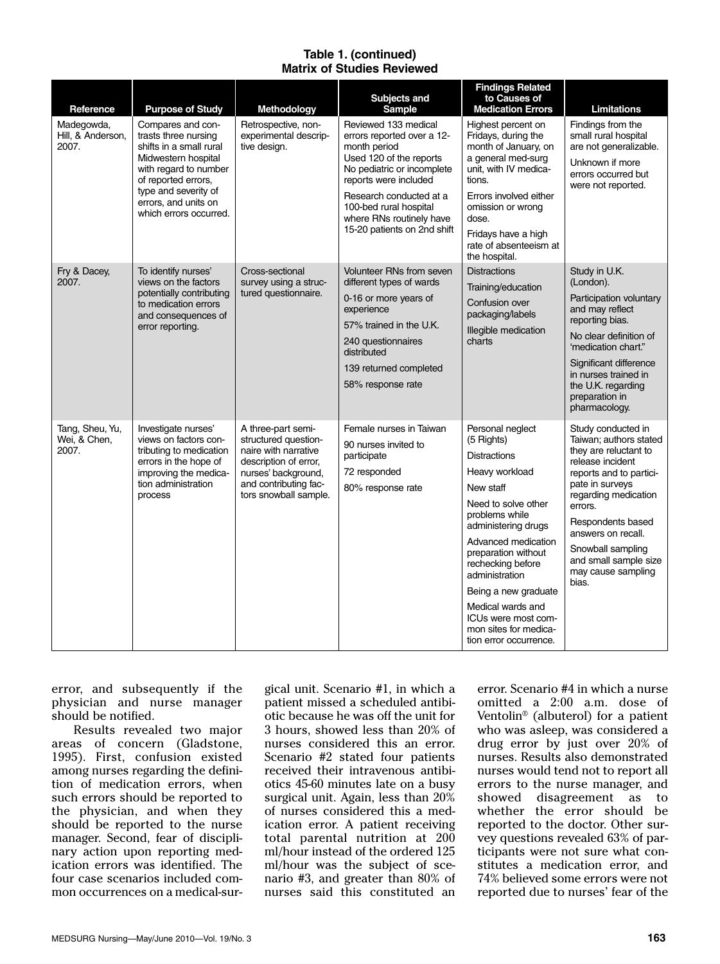#### **Table 1. (continued) Matrix of Studies Reviewed**

| Reference                                | <b>Purpose of Study</b>                                                                                                                                                                                               | Methodology                                                                                                                                                          | Subjects and<br><b>Sample</b>                                                                                                                                                                                                                                        | <b>Findings Related</b><br>to Causes of<br><b>Medication Errors</b>                                                                                                                                                                                                                                                                                              | Limitations                                                                                                                                                                                                                                                                                        |
|------------------------------------------|-----------------------------------------------------------------------------------------------------------------------------------------------------------------------------------------------------------------------|----------------------------------------------------------------------------------------------------------------------------------------------------------------------|----------------------------------------------------------------------------------------------------------------------------------------------------------------------------------------------------------------------------------------------------------------------|------------------------------------------------------------------------------------------------------------------------------------------------------------------------------------------------------------------------------------------------------------------------------------------------------------------------------------------------------------------|----------------------------------------------------------------------------------------------------------------------------------------------------------------------------------------------------------------------------------------------------------------------------------------------------|
| Madegowda,<br>Hill, & Anderson,<br>2007. | Compares and con-<br>trasts three nursing<br>shifts in a small rural<br>Midwestern hospital<br>with regard to number<br>of reported errors,<br>type and severity of<br>errors, and units on<br>which errors occurred. | Retrospective, non-<br>experimental descrip-<br>tive design.                                                                                                         | Reviewed 133 medical<br>errors reported over a 12-<br>month period<br>Used 120 of the reports<br>No pediatric or incomplete<br>reports were included<br>Research conducted at a<br>100-bed rural hospital<br>where RNs routinely have<br>15-20 patients on 2nd shift | Highest percent on<br>Fridays, during the<br>month of January, on<br>a general med-surg<br>unit, with IV medica-<br>tions.<br>Errors involved either<br>omission or wrong<br>dose.<br>Fridays have a high<br>rate of absenteeism at<br>the hospital.                                                                                                             | Findings from the<br>small rural hospital<br>are not generalizable.<br>Unknown if more<br>errors occurred but<br>were not reported.                                                                                                                                                                |
| Fry & Dacey,<br>2007.                    | To identify nurses'<br>views on the factors<br>potentially contributing<br>to medication errors<br>and consequences of<br>error reporting.                                                                            | Cross-sectional<br>survey using a struc-<br>tured questionnaire.                                                                                                     | Volunteer RNs from seven<br>different types of wards<br>0-16 or more years of<br>experience<br>57% trained in the U.K.<br>240 questionnaires<br>distributed<br>139 returned completed<br>58% response rate                                                           | <b>Distractions</b><br>Training/education<br>Confusion over<br>packaging/labels<br>Illegible medication<br>charts                                                                                                                                                                                                                                                | Study in U.K.<br>(London).<br>Participation voluntary<br>and may reflect<br>reporting bias.<br>No clear definition of<br>'medication chart."<br>Significant difference<br>in nurses trained in<br>the U.K. regarding<br>preparation in<br>pharmacology.                                            |
| Tang, Sheu, Yu,<br>Wei, & Chen,<br>2007. | Investigate nurses'<br>views on factors con-<br>tributing to medication<br>errors in the hope of<br>improving the medica-<br>tion administration<br>process                                                           | A three-part semi-<br>structured question-<br>naire with narrative<br>description of error,<br>nurses' background,<br>and contributing fac-<br>tors snowball sample. | Female nurses in Taiwan<br>90 nurses invited to<br>participate<br>72 responded<br>80% response rate                                                                                                                                                                  | Personal neglect<br>(5 Rights)<br><b>Distractions</b><br>Heavy workload<br>New staff<br>Need to solve other<br>problems while<br>administering drugs<br>Advanced medication<br>preparation without<br>rechecking before<br>administration<br>Being a new graduate<br>Medical wards and<br>ICUs were most com-<br>mon sites for medica-<br>tion error occurrence. | Study conducted in<br>Taiwan; authors stated<br>they are reluctant to<br>release incident<br>reports and to partici-<br>pate in surveys<br>regarding medication<br>errors.<br>Respondents based<br>answers on recall.<br>Snowball sampling<br>and small sample size<br>may cause sampling<br>bias. |

error, and subsequently if the physician and nurse manager should be notified.

Results revealed two major areas of concern (Gladstone, 1995). First, confusion existed among nurses regarding the definition of medication errors, when such errors should be reported to the physician, and when they should be reported to the nurse manager. Second, fear of disciplinary action upon reporting medication errors was identified. The four case scenarios included common occurrences on a medical-surgical unit. Scenario #1, in which a patient missed a scheduled antibiotic because he was off the unit for 3 hours, showed less than 20% of nurses considered this an error. Scenario #2 stated four patients received their intravenous antibiotics 45-60 minutes late on a busy surgical unit. Again, less than 20% of nurses considered this a medication error. A patient receiving total parental nutrition at 200 ml/hour instead of the ordered 125 ml/hour was the subject of scenario #3, and greater than 80% of nurses said this constituted an

error. Scenario #4 in which a nurse omitted a 2:00 a.m. dose of Ventolin® (albuterol) for a patient who was asleep, was considered a drug error by just over 20% of nurses. Results also demonstrated nurses would tend not to report all errors to the nurse manager, and showed disagreement as to whether the error should be reported to the doctor. Other survey questions revealed 63% of participants were not sure what constitutes a medication error, and 74% believed some errors were not reported due to nurses' fear of the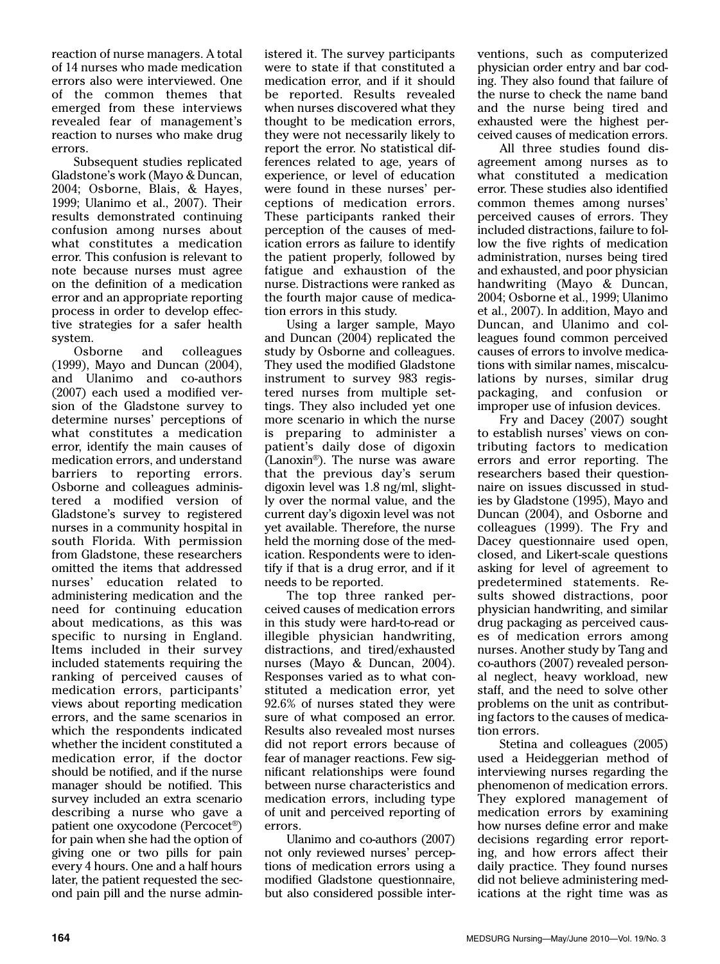reaction of nurse managers. A total of 14 nurses who made medication errors also were interviewed. One of the common themes that emerged from these interviews revealed fear of management's reaction to nurses who make drug errors.

Subsequent studies replicated Gladstone's work (Mayo & Duncan, 2004; Osborne, Blais, & Hayes, 1999; Ulanimo et al., 2007). Their results demonstrated continuing confusion among nurses about what constitutes a medication error. This confusion is relevant to note because nurses must agree on the definition of a medication error and an appropriate reporting process in order to develop effective strategies for a safer health system.

Osborne and colleagues (1999), Mayo and Duncan (2004), and Ulanimo and co-authors (2007) each used a modified version of the Gladstone survey to determine nurses' perceptions of what constitutes a medication error, identify the main causes of medication errors, and understand barriers to reporting errors. Osborne and colleagues administered a modified version of Gladstone's survey to registered nurses in a community hospital in south Florida. With permission from Gladstone, these researchers omitted the items that addressed nurses' education related to administering medication and the need for continuing education about medications, as this was specific to nursing in England. Items included in their survey included statements requiring the ranking of perceived causes of medication errors, participants' views about reporting medication errors, and the same scenarios in which the respondents indicated whether the incident constituted a medication error, if the doctor should be notified, and if the nurse manager should be notified. This survey included an extra scenario describing a nurse who gave a patient one oxycodone (Percocet®) for pain when she had the option of giving one or two pills for pain every 4 hours. One and a half hours later, the patient requested the second pain pill and the nurse administered it. The survey participants were to state if that constituted a medication error, and if it should be reported. Results revealed when nurses discovered what they thought to be medication errors, they were not necessarily likely to report the error. No statistical differences related to age, years of experience, or level of education were found in these nurses' perceptions of medication errors. These participants ranked their perception of the causes of medication errors as failure to identify the patient properly, followed by fatigue and exhaustion of the nurse. Distractions were ranked as the fourth major cause of medication errors in this study.

Using a larger sample, Mayo and Duncan (2004) replicated the study by Osborne and colleagues. They used the modified Gladstone instrument to survey 983 registered nurses from multiple settings. They also included yet one more scenario in which the nurse is preparing to administer a patient's daily dose of digoxin (Lanoxin®). The nurse was aware that the previous day's serum digoxin level was 1.8 ng/ml, slightly over the normal value, and the current day's digoxin level was not yet available. Therefore, the nurse held the morning dose of the medication. Respondents were to identify if that is a drug error, and if it needs to be reported.

The top three ranked perceived causes of medication errors in this study were hard-to-read or illegible physician handwriting, distractions, and tired/exhausted nurses (Mayo & Duncan, 2004). Responses varied as to what constituted a medication error, yet 92.6% of nurses stated they were sure of what composed an error. Results also revealed most nurses did not report errors because of fear of manager reactions. Few significant relationships were found between nurse characteristics and medication errors, including type of unit and perceived reporting of errors.

Ulanimo and co-authors (2007) not only reviewed nurses' perceptions of medication errors using a modified Gladstone questionnaire, but also considered possible interventions, such as computerized physician order entry and bar coding. They also found that failure of the nurse to check the name band and the nurse being tired and exhausted were the highest perceived causes of medication errors.

All three studies found disagreement among nurses as to what constituted a medication error. These studies also identified common themes among nurses' perceived causes of errors. They included distractions, failure to follow the five rights of medication administration, nurses being tired and exhausted, and poor physician handwriting (Mayo & Duncan, 2004; Osborne et al., 1999; Ulanimo et al., 2007). In addition, Mayo and Duncan, and Ulanimo and colleagues found common perceived causes of errors to involve medications with similar names, miscalculations by nurses, similar drug packaging, and confusion or improper use of infusion devices.

Fry and Dacey (2007) sought to establish nurses' views on contributing factors to medication errors and error reporting. The researchers based their questionnaire on issues discussed in studies by Gladstone (1995), Mayo and Duncan (2004), and Osborne and colleagues (1999). The Fry and Dacey questionnaire used open, closed, and Likert-scale questions asking for level of agreement to predetermined statements. Results showed distractions, poor physician handwriting, and similar drug packaging as perceived causes of medication errors among nurses. Another study by Tang and co-authors (2007) revealed personal neglect, heavy workload, new staff, and the need to solve other problems on the unit as contributing factors to the causes of medication errors.

Stetina and colleagues (2005) used a Heideggerian method of interviewing nurses regarding the phenomenon of medication errors. They explored management of medication errors by examining how nurses define error and make decisions regarding error reporting, and how errors affect their daily practice. They found nurses did not believe administering medications at the right time was as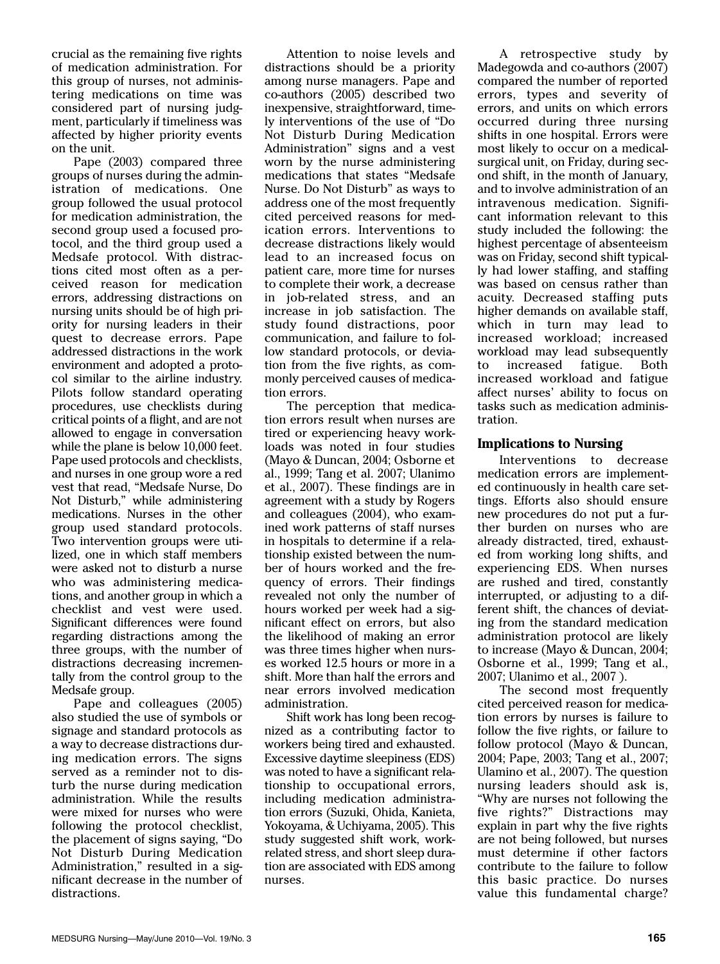crucial as the remaining five rights of medication administration. For this group of nurses, not administering medications on time was considered part of nursing judgment, particularly if timeliness was affected by higher priority events on the unit.

Pape (2003) compared three groups of nurses during the administration of medications. One group followed the usual protocol for medication administration, the second group used a focused protocol, and the third group used a Medsafe protocol. With distractions cited most often as a perceived reason for medication errors, addressing distractions on nursing units should be of high priority for nursing leaders in their quest to decrease errors. Pape addressed distractions in the work environment and adopted a protocol similar to the airline industry. Pilots follow standard operating procedures, use checklists during critical points of a flight, and are not allowed to engage in conversation while the plane is below 10,000 feet. Pape used protocols and checklists, and nurses in one group wore a red vest that read, "Medsafe Nurse, Do Not Disturb," while administering medications. Nurses in the other group used standard protocols. Two intervention groups were utilized, one in which staff members were asked not to disturb a nurse who was administering medications, and another group in which a checklist and vest were used. Significant differences were found regarding distractions among the three groups, with the number of distractions decreasing incrementally from the control group to the Medsafe group.

Pape and colleagues (2005) also studied the use of symbols or signage and standard protocols as a way to decrease distractions during medication errors. The signs served as a reminder not to disturb the nurse during medication administration. While the results were mixed for nurses who were following the protocol checklist, the placement of signs saying, "Do Not Disturb During Medication Administration," resulted in a significant decrease in the number of distractions.

Attention to noise levels and distractions should be a priority among nurse managers. Pape and co-authors (2005) described two inexpensive, straightforward, timely interventions of the use of "Do Not Disturb During Medication Administration" signs and a vest worn by the nurse administering medications that states "Medsafe Nurse. Do Not Disturb" as ways to address one of the most frequently cited perceived reasons for medication errors. Interventions to decrease distractions likely would lead to an increased focus on patient care, more time for nurses to complete their work, a decrease in job-related stress, and an increase in job satisfaction. The study found distractions, poor communication, and failure to follow standard protocols, or deviation from the five rights, as commonly perceived causes of medication errors.

The perception that medication errors result when nurses are tired or experiencing heavy workloads was noted in four studies (Mayo & Duncan, 2004; Osborne et al., 1999; Tang et al. 2007; Ulanimo et al., 2007). These findings are in agreement with a study by Rogers and colleagues (2004), who examined work patterns of staff nurses in hospitals to determine if a relationship existed between the number of hours worked and the frequency of errors. Their findings revealed not only the number of hours worked per week had a significant effect on errors, but also the likelihood of making an error was three times higher when nurses worked 12.5 hours or more in a shift. More than half the errors and near errors involved medication administration.

Shift work has long been recognized as a contributing factor to workers being tired and exhausted. Excessive daytime sleepiness (EDS) was noted to have a significant relationship to occupational errors, including medication administration errors (Suzuki, Ohida, Kanieta, Yokoyama, & Uchiyama, 2005). This study suggested shift work, workrelated stress, and short sleep duration are associated with EDS among nurses.

A retrospective study by Madegowda and co-authors (2007) compared the number of reported errors, types and severity of errors, and units on which errors occurred during three nursing shifts in one hospital. Errors were most likely to occur on a medicalsurgical unit, on Friday, during second shift, in the month of January, and to involve administration of an intravenous medication. Significant information relevant to this study included the following: the highest percentage of absenteeism was on Friday, second shift typically had lower staffing, and staffing was based on census rather than acuity. Decreased staffing puts higher demands on available staff, which in turn may lead to increased workload; increased workload may lead subsequently to increased fatigue. Both increased workload and fatigue affect nurses' ability to focus on tasks such as medication administration.

#### **Implications to Nursing**

Interventions to decrease medication errors are implemented continuously in health care settings. Efforts also should ensure new procedures do not put a further burden on nurses who are already distracted, tired, exhausted from working long shifts, and experiencing EDS. When nurses are rushed and tired, constantly interrupted, or adjusting to a different shift, the chances of deviating from the standard medication administration protocol are likely to increase (Mayo & Duncan, 2004; Osborne et al., 1999; Tang et al., 2007; Ulanimo et al., 2007 ).

The second most frequently cited perceived reason for medication errors by nurses is failure to follow the five rights, or failure to follow protocol (Mayo & Duncan, 2004; Pape, 2003; Tang et al., 2007; Ulamino et al., 2007). The question nursing leaders should ask is, "Why are nurses not following the five rights?" Distractions may explain in part why the five rights are not being followed, but nurses must determine if other factors contribute to the failure to follow this basic practice. Do nurses value this fundamental charge?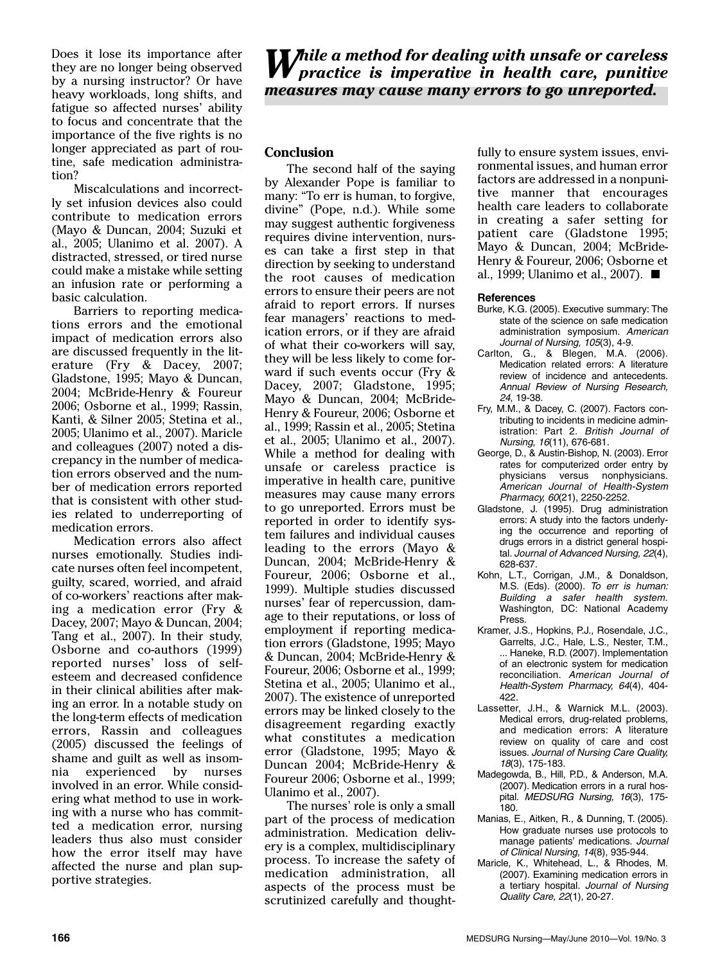Does it lose its importance after they are no longer being observed by a nursing instructor? Or have heavy workloads, long shifts, and fatigue so affected nurses' ability to focus and concentrate that the importance of the five rights is no longer appreciated as part of routine, safe medication administration?

Miscalculations and incorrectly set infusion devices also could contribute to medication errors (Mayo & Duncan, 2004; Suzuki et al., 2005; Ulanimo et al. 2007). A distracted, stressed, or tired nurse could make a mistake while setting an infusion rate or performing a basic calculation.

Barriers to reporting medications errors and the emotional impact of medication errors also are discussed frequently in the literature (Fry & Dacey, 2007; Gladstone, 1995; Mayo & Duncan, 2004; McBride-Henry & Foureur 2006; Osborne et al., 1999; Rassin, Kanti, & Silner 2005; Stetina et al., 2005; Ulanimo et al., 2007). Maricle and colleagues (2007) noted a discrepancy in the number of medication errors observed and the number of medication errors reported that is consistent with other studies related to underreporting of medication errors.

Medication errors also affect nurses emotionally. Studies indicate nurses often feel incompetent, guilty, scared, worried, and afraid of co-workers' reactions after making a medication error (Fry & Dacey, 2007; Mayo & Duncan, 2004; Tang et al., 2007). In their study, Osborne and co-authors (1999) reported nurses' loss of selfesteem and decreased confidence in their clinical abilities after making an error. In a notable study on the long-term effects of medication errors, Rassin and colleagues (2005) discussed the feelings of shame and guilt as well as insomnia experienced by nurses involved in an error. While considering what method to use in working with a nurse who has committed a medication error, nursing leaders thus also must consider how the error itself may have affected the nurse and plan supportive strategies.

*While a method for dealing with unsafe or careless practice is imperative in health care, punitive measures may cause many errors to go unreported.*

# **Conclusion**

The second half of the saying by Alexander Pope is familiar to many: "To err is human, to forgive, divine" (Pope, n.d.). While some may suggest authentic forgiveness requires divine intervention, nurses can take a first step in that direction by seeking to understand the root causes of medication errors to ensure their peers are not afraid to report errors. If nurses fear managers' reactions to medication errors, or if they are afraid of what their co-workers will say, they will be less likely to come forward if such events occur (Fry & Dacey, 2007; Gladstone, 1995; Mayo & Duncan, 2004; McBride-Henry & Foureur, 2006; Osborne et al., 1999; Rassin et al., 2005; Stetina et al., 2005; Ulanimo et al., 2007). While a method for dealing with unsafe or careless practice is imperative in health care, punitive measures may cause many errors to go unreported. Errors must be reported in order to identify system failures and individual causes leading to the errors (Mayo & Duncan, 2004; McBride-Henry & Foureur, 2006; Osborne et al., 1999). Multiple studies discussed nurses' fear of repercussion, damage to their reputations, or loss of employment if reporting medication errors (Gladstone, 1995; Mayo & Duncan, 2004; McBride-Henry & Foureur, 2006; Osborne et al., 1999; Stetina et al., 2005; Ulanimo et al., 2007). The existence of unreported errors may be linked closely to the disagreement regarding exactly what constitutes a medication error (Gladstone, 1995; Mayo & Duncan 2004; McBride-Henry & Foureur 2006; Osborne et al., 1999; Ulanimo et al., 2007).

The nurses' role is only a small part of the process of medication administration. Medication delivery is a complex, multidisciplinary process. To increase the safety of medication administration, all aspects of the process must be scrutinized carefully and thoughtfully to ensure system issues, environmental issues, and human error factors are addressed in a nonpunitive manner that encourages health care leaders to collaborate in creating a safer setting for patient care (Gladstone 1995; Mayo & Duncan, 2004; McBride-Henry & Foureur, 2006; Osborne et al., 1999; Ulanimo et al., 2007).

#### **References**

- Burke, K.G. (2005). Executive summary: The state of the science on safe medication administration symposium. American Journal of Nursing, 105(3), 4-9.
- Carlton, G., & Blegen, M.A. (2006). Medication related errors: A literature review of incidence and antecedents. Annual Review of Nursing Research, 24, 19-38.
- Fry, M.M., & Dacey, C. (2007). Factors contributing to incidents in medicine administration: Part 2. British Journal of Nursing, 16(11), 676-681.
- George, D., & Austin-Bishop, N. (2003). Error rates for computerized order entry by physicians versus nonphysicians. American Journal of Health-System Pharmacy, 60(21), 2250-2252.
- Gladstone, J. (1995). Drug administration errors: A study into the factors underlying the occurrence and reporting of drugs errors in a district general hospital. Journal of Advanced Nursing, 22(4), 628-637.
- Kohn, L.T., Corrigan, J.M., & Donaldson, M.S. (Eds). (2000). To err is human: Building a safer health system. Washington, DC: National Academy Press.
- Kramer, J.S., Hopkins, P.J., Rosendale, J.C., Garrelts, J.C., Hale, L.S., Nester, T.M., ... Haneke, R.D. (2007). Implementation of an electronic system for medication reconciliation. American Journal of Health-System Pharmacy, 64(4), 404- 422.
- Lassetter, J.H., & Warnick M.L. (2003). Medical errors, drug-related problems, and medication errors: A literature review on quality of care and cost issues. Journal of Nursing Care Quality, 18(3), 175-183.
- Madegowda, B., Hill, P.D., & Anderson, M.A. (2007). Medication errors in a rural hospital. MEDSURG Nursing, 16(3), 175-180.
- Manias, E., Aitken, R., & Dunning, T. (2005). How graduate nurses use protocols to manage patients' medications. Journal of Clinical Nursing, 14(8), 935-944.
- Maricle, K., Whitehead, L., & Rhodes, M. (2007). Examining medication errors in a tertiary hospital. Journal of Nursing Quality Care, 22(1), 20-27.